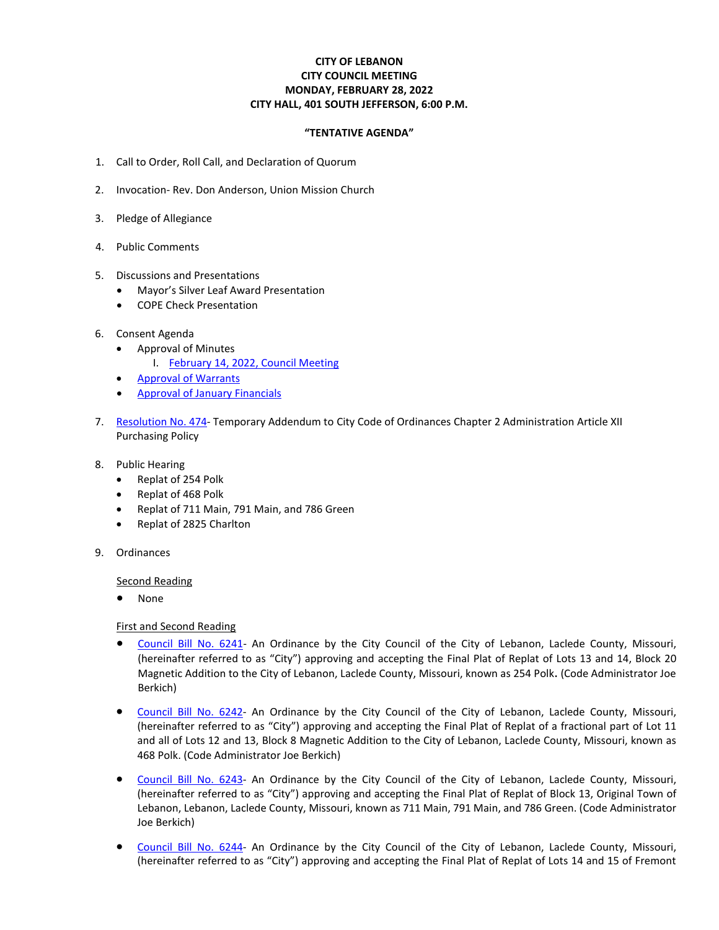## **CITY OF LEBANON CITY COUNCIL MEETING MONDAY, FEBRUARY 28, 2022 CITY HALL, 401 SOUTH JEFFERSON, 6:00 P.M.**

## **"TENTATIVE AGENDA"**

- 1. Call to Order, Roll Call, and Declaration of Quorum
- 2. Invocation- Rev. Don Anderson, Union Mission Church
- 3. Pledge of Allegiance
- 4. Public Comments
- 5. Discussions and Presentations
	- Mayor's Silver Leaf Award Presentation
	- COPE Check Presentation
- 6. Consent Agenda
	- Approval of Minutes
		- I. February [14, 2022, Council Meeting](https://www.lebanonmissouri.org/DocumentCenter/View/35885/02-14-22-Draft-Minutes)
	- [Approval of Warrants](https://www.lebanonmissouri.org/DocumentCenter/View/35886/Warrants)
	- [Approval of January Financials](https://www.lebanonmissouri.org/DocumentCenter/View/35887/Monthly-Financials-January-2022)
- 7. [Resolution](https://www.lebanonmissouri.org/DocumentCenter/View/35902/Resolution-No-474--Temporary-Addendum-to-City-Code-Article-XII-Purchasing-Policy) No. 474- Temporary Addendum to City Code of Ordinances Chapter 2 Administration Article XII Purchasing Policy
- 8. Public Hearing
	- Replat of 254 Polk
	- Replat of 468 Polk
	- Replat of 711 Main, 791 Main, and 786 Green
	- Replat of 2825 Charlton
- 9. Ordinances

Second Reading

• None

First and Second Reading

- [Council Bill No. 6241-](https://www.lebanonmissouri.org/DocumentCenter/View/35890/Council-Bill-No-6241--Final-Plat-Replat-of-254-Polk) An Ordinance by the City Council of the City of Lebanon, Laclede County, Missouri, (hereinafter referred to as "City") approving and accepting the Final Plat of Replat of Lots 13 and 14, Block 20 Magnetic Addition to the City of Lebanon, Laclede County, Missouri, known as 254 Polk. (Code Administrator Joe Berkich)
- [Council Bill No. 6242-](https://www.lebanonmissouri.org/DocumentCenter/View/35891/Council-Bill-No-6242--Final-Plat-Replat-of-468-Polk) An Ordinance by the City Council of the City of Lebanon, Laclede County, Missouri, (hereinafter referred to as "City") approving and accepting the Final Plat of Replat of a fractional part of Lot 11 and all of Lots 12 and 13, Block 8 Magnetic Addition to the City of Lebanon, Laclede County, Missouri, known as 468 Polk. (Code Administrator Joe Berkich)
- [Council Bill No. 6243-](https://www.lebanonmissouri.org/DocumentCenter/View/35892/Council-Bill-No-6243--Final-Plat-Replat-of-711-Main-791-Main-and-786-Green) An Ordinance by the City Council of the City of Lebanon, Laclede County, Missouri, (hereinafter referred to as "City") approving and accepting the Final Plat of Replat of Block 13, Original Town of Lebanon, Lebanon, Laclede County, Missouri, known as 711 Main, 791 Main, and 786 Green. (Code Administrator Joe Berkich)
- [Council Bill No. 6244-](https://www.lebanonmissouri.org/DocumentCenter/View/35893/Council-Bill-No-6244--Final-Plat-Replat-of--Lots-14-and-15-of-Fremont-Place-Subdivision-2825-Charlton) An Ordinance by the City Council of the City of Lebanon, Laclede County, Missouri, (hereinafter referred to as "City") approving and accepting the Final Plat of Replat of Lots 14 and 15 of Fremont